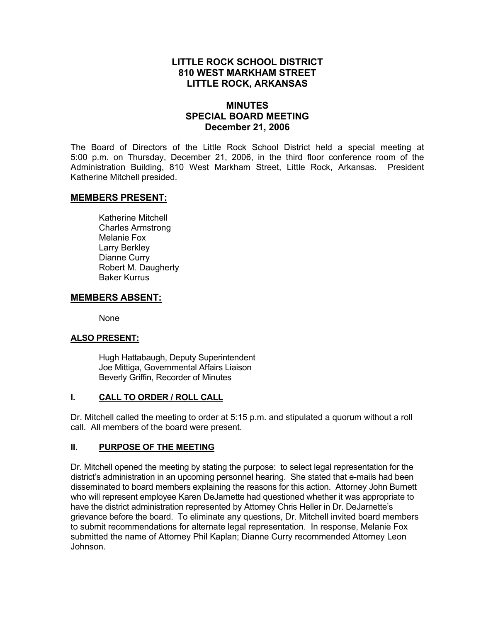# **LITTLE ROCK SCHOOL DISTRICT 810 WEST MARKHAM STREET LITTLE ROCK, ARKANSAS**

## **MINUTES SPECIAL BOARD MEETING December 21, 2006**

The Board of Directors of the Little Rock School District held a special meeting at 5:00 p.m. on Thursday, December 21, 2006, in the third floor conference room of the Administration Building, 810 West Markham Street, Little Rock, Arkansas. President Katherine Mitchell presided.

## **MEMBERS PRESENT:**

Katherine Mitchell Charles Armstrong Melanie Fox Larry Berkley Dianne Curry Robert M. Daugherty Baker Kurrus

## **MEMBERS ABSENT:**

None

#### **ALSO PRESENT:**

 Hugh Hattabaugh, Deputy Superintendent Joe Mittiga, Governmental Affairs Liaison Beverly Griffin, Recorder of Minutes

### **I. CALL TO ORDER / ROLL CALL**

Dr. Mitchell called the meeting to order at 5:15 p.m. and stipulated a quorum without a roll call. All members of the board were present.

#### **II. PURPOSE OF THE MEETING**

Dr. Mitchell opened the meeting by stating the purpose: to select legal representation for the district's administration in an upcoming personnel hearing. She stated that e-mails had been disseminated to board members explaining the reasons for this action. Attorney John Burnett who will represent employee Karen DeJarnette had questioned whether it was appropriate to have the district administration represented by Attorney Chris Heller in Dr. DeJarnette's grievance before the board. To eliminate any questions, Dr. Mitchell invited board members to submit recommendations for alternate legal representation. In response, Melanie Fox submitted the name of Attorney Phil Kaplan; Dianne Curry recommended Attorney Leon Johnson.